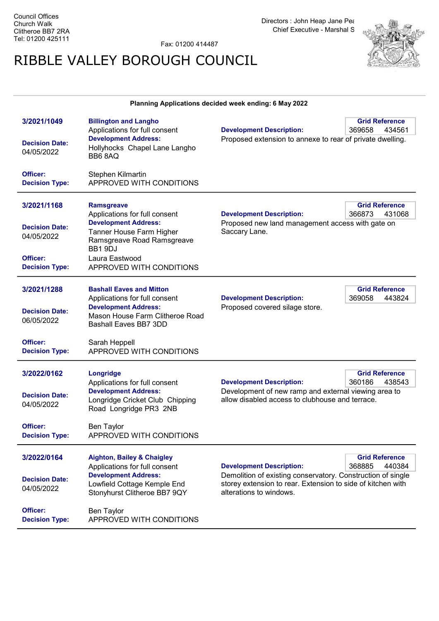Fax: 01200 414487

## RIBBLE VALLEY BOROUGH COUNCIL



## Planning Applications decided week ending: 6 May 2022

| 3/2021/1049<br><b>Decision Date:</b><br>04/05/2022<br>Officer:<br><b>Decision Type:</b> | <b>Billington and Langho</b><br>Applications for full consent<br><b>Development Address:</b><br>Hollyhocks Chapel Lane Langho<br>BB68AQ<br>Stephen Kilmartin<br>APPROVED WITH CONDITIONS | <b>Development Description:</b><br>Proposed extension to annexe to rear of private dwelling.                                                          | <b>Grid Reference</b><br>369658<br>434561 |  |
|-----------------------------------------------------------------------------------------|------------------------------------------------------------------------------------------------------------------------------------------------------------------------------------------|-------------------------------------------------------------------------------------------------------------------------------------------------------|-------------------------------------------|--|
|                                                                                         |                                                                                                                                                                                          |                                                                                                                                                       |                                           |  |
| 3/2021/1168                                                                             | <b>Ramsgreave</b>                                                                                                                                                                        |                                                                                                                                                       | <b>Grid Reference</b><br>366873           |  |
| <b>Decision Date:</b><br>04/05/2022                                                     | Applications for full consent<br><b>Development Address:</b><br>Tanner House Farm Higher<br>Ramsgreave Road Ramsgreave<br>BB1 9DJ                                                        | <b>Development Description:</b><br>431068<br>Proposed new land management access with gate on<br>Saccary Lane.                                        |                                           |  |
| Officer:<br><b>Decision Type:</b>                                                       | Laura Eastwood<br>APPROVED WITH CONDITIONS                                                                                                                                               |                                                                                                                                                       |                                           |  |
| 3/2021/1288<br><b>Decision Date:</b><br>06/05/2022                                      | <b>Bashall Eaves and Mitton</b><br>Applications for full consent<br><b>Development Address:</b><br>Mason House Farm Clitheroe Road<br>Bashall Eaves BB7 3DD                              | <b>Development Description:</b><br>Proposed covered silage store.                                                                                     | <b>Grid Reference</b><br>369058<br>443824 |  |
| Officer:<br><b>Decision Type:</b>                                                       | Sarah Heppell<br>APPROVED WITH CONDITIONS                                                                                                                                                |                                                                                                                                                       |                                           |  |
| 3/2022/0162<br><b>Decision Date:</b><br>04/05/2022                                      | Longridge<br>Applications for full consent<br><b>Development Address:</b><br>Longridge Cricket Club Chipping<br>Road Longridge PR3 2NB                                                   | <b>Development Description:</b><br>Development of new ramp and external viewing area to<br>allow disabled access to clubhouse and terrace.            | <b>Grid Reference</b><br>360186<br>438543 |  |
| Officer:<br><b>Decision Type:</b>                                                       | Ben Taylor<br>APPROVED WITH CONDITIONS                                                                                                                                                   |                                                                                                                                                       |                                           |  |
| 3/2022/0164                                                                             | <b>Aighton, Bailey &amp; Chaigley</b><br>Applications for full consent                                                                                                                   | <b>Development Description:</b>                                                                                                                       | <b>Grid Reference</b><br>368885<br>440384 |  |
| <b>Decision Date:</b><br>04/05/2022                                                     | <b>Development Address:</b><br>Lowfield Cottage Kemple End<br>Stonyhurst Clitheroe BB7 9QY                                                                                               | Demolition of existing conservatory. Construction of single<br>storey extension to rear. Extension to side of kitchen with<br>alterations to windows. |                                           |  |
| Officer:<br><b>Decision Type:</b>                                                       | Ben Taylor<br>APPROVED WITH CONDITIONS                                                                                                                                                   |                                                                                                                                                       |                                           |  |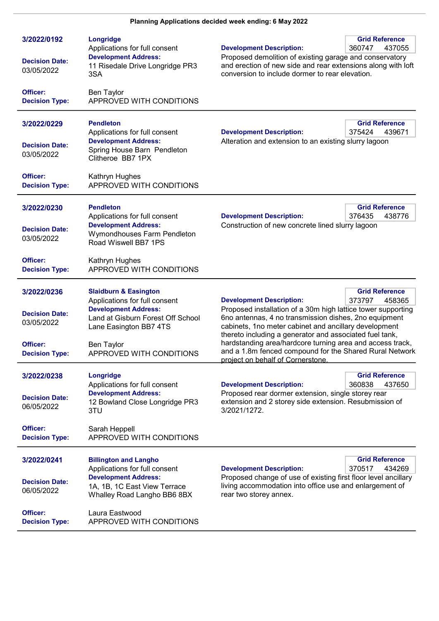| 3/2022/0192<br><b>Decision Date:</b><br>03/05/2022                                      | Longridge<br>Applications for full consent<br><b>Development Address:</b><br>11 Risedale Drive Longridge PR3<br>3SA                                                                                       | <b>Grid Reference</b><br><b>Development Description:</b><br>360747<br>437055<br>Proposed demolition of existing garage and conservatory<br>and erection of new side and rear extensions along with loft<br>conversion to include dormer to rear elevation.                                                                                                                                                                                        |
|-----------------------------------------------------------------------------------------|-----------------------------------------------------------------------------------------------------------------------------------------------------------------------------------------------------------|---------------------------------------------------------------------------------------------------------------------------------------------------------------------------------------------------------------------------------------------------------------------------------------------------------------------------------------------------------------------------------------------------------------------------------------------------|
| Officer:<br><b>Decision Type:</b>                                                       | Ben Taylor<br>APPROVED WITH CONDITIONS                                                                                                                                                                    |                                                                                                                                                                                                                                                                                                                                                                                                                                                   |
| 3/2022/0229<br><b>Decision Date:</b><br>03/05/2022                                      | <b>Pendleton</b><br>Applications for full consent<br><b>Development Address:</b><br>Spring House Barn Pendleton<br>Clitheroe BB7 1PX                                                                      | <b>Grid Reference</b><br><b>Development Description:</b><br>375424<br>439671<br>Alteration and extension to an existing slurry lagoon                                                                                                                                                                                                                                                                                                             |
| Officer:<br><b>Decision Type:</b>                                                       | Kathryn Hughes<br>APPROVED WITH CONDITIONS                                                                                                                                                                |                                                                                                                                                                                                                                                                                                                                                                                                                                                   |
| 3/2022/0230<br><b>Decision Date:</b><br>03/05/2022                                      | <b>Pendleton</b><br>Applications for full consent<br><b>Development Address:</b><br>Wymondhouses Farm Pendleton<br>Road Wiswell BB7 1PS                                                                   | <b>Grid Reference</b><br><b>Development Description:</b><br>376435<br>438776<br>Construction of new concrete lined slurry lagoon                                                                                                                                                                                                                                                                                                                  |
| Officer:<br><b>Decision Type:</b>                                                       | Kathryn Hughes<br>APPROVED WITH CONDITIONS                                                                                                                                                                |                                                                                                                                                                                                                                                                                                                                                                                                                                                   |
| 3/2022/0236<br><b>Decision Date:</b><br>03/05/2022<br>Officer:<br><b>Decision Type:</b> | <b>Slaidburn &amp; Easington</b><br>Applications for full consent<br><b>Development Address:</b><br>Land at Gisburn Forest Off School<br>Lane Easington BB7 4TS<br>Ben Taylor<br>APPROVED WITH CONDITIONS | <b>Grid Reference</b><br><b>Development Description:</b><br>373797<br>458365<br>Proposed installation of a 30m high lattice tower supporting<br>6no antennas, 4 no transmission dishes, 2no equipment<br>cabinets, 1no meter cabinet and ancillary development<br>thereto including a generator and associated fuel tank,<br>hardstanding area/hardcore turning area and access track,<br>and a 1.8m fenced compound for the Shared Rural Network |
|                                                                                         |                                                                                                                                                                                                           | project on behalf of Cornerstone.                                                                                                                                                                                                                                                                                                                                                                                                                 |
| 3/2022/0238<br><b>Decision Date:</b><br>06/05/2022                                      | Longridge<br>Applications for full consent<br><b>Development Address:</b><br>12 Bowland Close Longridge PR3<br>3TU                                                                                        | <b>Grid Reference</b><br><b>Development Description:</b><br>360838<br>437650<br>Proposed rear dormer extension, single storey rear<br>extension and 2 storey side extension. Resubmission of<br>3/2021/1272.                                                                                                                                                                                                                                      |
| Officer:<br><b>Decision Type:</b>                                                       | Sarah Heppell<br>APPROVED WITH CONDITIONS                                                                                                                                                                 |                                                                                                                                                                                                                                                                                                                                                                                                                                                   |
| 3/2022/0241<br><b>Decision Date:</b><br>06/05/2022                                      | <b>Billington and Langho</b><br>Applications for full consent<br><b>Development Address:</b><br>1A, 1B, 1C East View Terrace<br>Whalley Road Langho BB6 8BX                                               | <b>Grid Reference</b><br><b>Development Description:</b><br>370517<br>434269<br>Proposed change of use of existing first floor level ancillary<br>living accommodation into office use and enlargement of<br>rear two storey annex.                                                                                                                                                                                                               |
| Officer:<br><b>Decision Type:</b>                                                       | Laura Eastwood<br>APPROVED WITH CONDITIONS                                                                                                                                                                |                                                                                                                                                                                                                                                                                                                                                                                                                                                   |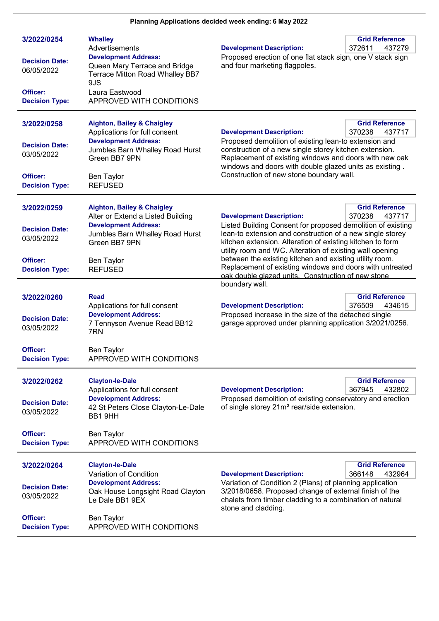## Planning Applications decided week ending: 6May 2022

| 3/2022/0254<br><b>Decision Date:</b><br>06/05/2022<br>Officer:<br><b>Decision Type:</b> | <b>Whalley</b><br>Advertisements<br><b>Development Address:</b><br>Queen Mary Terrace and Bridge<br>Terrace Mitton Road Whalley BB7<br>9JS<br>Laura Eastwood<br>APPROVED WITH CONDITIONS             | <b>Development Description:</b><br>Proposed erection of one flat stack sign, one V stack sign<br>and four marketing flagpoles.                                                                                                                                                                                                                                                                                                                                                      | <b>Grid Reference</b><br>372611<br>437279 |
|-----------------------------------------------------------------------------------------|------------------------------------------------------------------------------------------------------------------------------------------------------------------------------------------------------|-------------------------------------------------------------------------------------------------------------------------------------------------------------------------------------------------------------------------------------------------------------------------------------------------------------------------------------------------------------------------------------------------------------------------------------------------------------------------------------|-------------------------------------------|
| 3/2022/0258<br><b>Decision Date:</b><br>03/05/2022<br>Officer:<br><b>Decision Type:</b> | <b>Aighton, Bailey &amp; Chaigley</b><br>Applications for full consent<br><b>Development Address:</b><br>Jumbles Barn Whalley Road Hurst<br>Green BB7 9PN<br><b>Ben Taylor</b><br><b>REFUSED</b>     | <b>Grid Reference</b><br><b>Development Description:</b><br>370238<br>437717<br>Proposed demolition of existing lean-to extension and<br>construction of a new single storey kitchen extension.<br>Replacement of existing windows and doors with new oak<br>windows and doors with double glazed units as existing.<br>Construction of new stone boundary wall.                                                                                                                    |                                           |
| 3/2022/0259<br><b>Decision Date:</b><br>03/05/2022<br>Officer:<br><b>Decision Type:</b> | <b>Aighton, Bailey &amp; Chaigley</b><br>Alter or Extend a Listed Building<br><b>Development Address:</b><br>Jumbles Barn Whalley Road Hurst<br>Green BB7 9PN<br><b>Ben Taylor</b><br><b>REFUSED</b> | <b>Development Description:</b><br>Listed Building Consent for proposed demolition of existing<br>lean-to extension and construction of a new single storey<br>kitchen extension. Alteration of existing kitchen to form<br>utility room and WC. Alteration of existing wall opening<br>between the existing kitchen and existing utility room.<br>Replacement of existing windows and doors with untreated<br>oak double glazed units. Construction of new stone<br>boundary wall. | <b>Grid Reference</b><br>370238<br>437717 |
| 3/2022/0260<br><b>Decision Date:</b><br>03/05/2022<br>Officer:<br><b>Decision Type:</b> | <b>Read</b><br>Applications for full consent<br><b>Development Address:</b><br>7 Tennyson Avenue Read BB12<br>7RN<br><b>Ben Taylor</b><br>APPROVED WITH CONDITIONS                                   | <b>Development Description:</b><br>Proposed increase in the size of the detached single<br>garage approved under planning application 3/2021/0256.                                                                                                                                                                                                                                                                                                                                  | <b>Grid Reference</b><br>376509<br>434615 |
| 3/2022/0262<br><b>Decision Date:</b><br>03/05/2022<br>Officer:<br><b>Decision Type:</b> | <b>Clayton-le-Dale</b><br>Applications for full consent<br><b>Development Address:</b><br>42 St Peters Close Clayton-Le-Dale<br>BB1 9HH<br><b>Ben Taylor</b><br>APPROVED WITH CONDITIONS             | <b>Development Description:</b><br>Proposed demolition of existing conservatory and erection<br>of single storey 21m <sup>2</sup> rear/side extension.                                                                                                                                                                                                                                                                                                                              | <b>Grid Reference</b><br>367945<br>432802 |
| 3/2022/0264<br><b>Decision Date:</b><br>03/05/2022<br>Officer:<br><b>Decision Type:</b> | <b>Clayton-le-Dale</b><br>Variation of Condition<br><b>Development Address:</b><br>Oak House Longsight Road Clayton<br>Le Dale BB1 9EX<br>Ben Taylor<br>APPROVED WITH CONDITIONS                     | <b>Development Description:</b><br>Variation of Condition 2 (Plans) of planning application<br>3/2018/0658. Proposed change of external finish of the<br>chalets from timber cladding to a combination of natural<br>stone and cladding.                                                                                                                                                                                                                                            | <b>Grid Reference</b><br>366148<br>432964 |